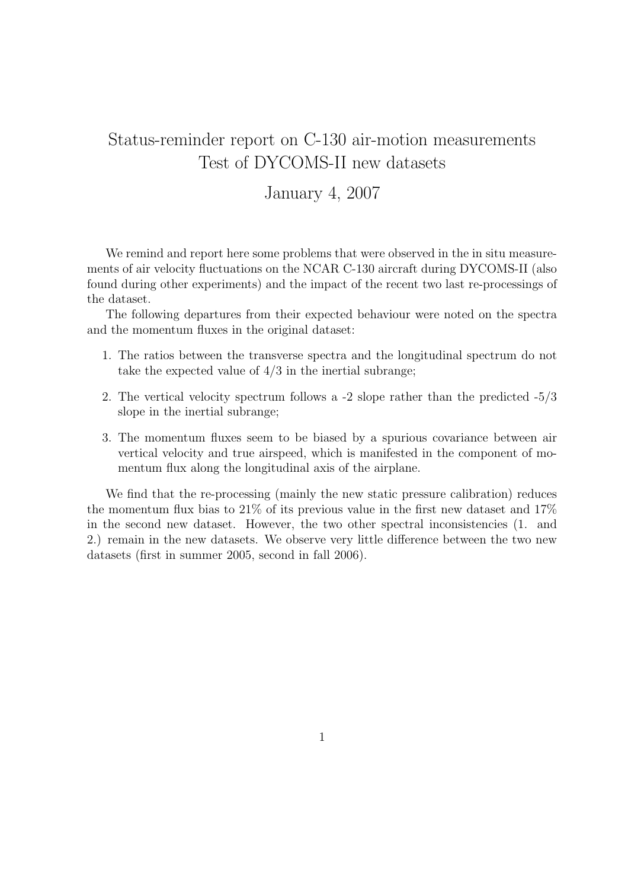# Status-reminder report on C-130 air-motion measurements Test of DYCOMS-II new datasets

## January 4, 2007

We remind and report here some problems that were observed in the in situ measurements of air velocity fluctuations on the NCAR C-130 aircraft during DYCOMS-II (also found during other experiments) and the impact of the recent two last re-processings of the dataset.

The following departures from their expected behaviour were noted on the spectra and the momentum fluxes in the original dataset:

- 1. The ratios between the transverse spectra and the longitudinal spectrum do not take the expected value of  $4/3$  in the inertial subrange;
- 2. The vertical velocity spectrum follows a -2 slope rather than the predicted -5/3 slope in the inertial subrange;
- 3. The momentum fluxes seem to be biased by a spurious covariance between air vertical velocity and true airspeed, which is manifested in the component of momentum flux along the longitudinal axis of the airplane.

We find that the re-processing (mainly the new static pressure calibration) reduces the momentum flux bias to 21% of its previous value in the first new dataset and 17% in the second new dataset. However, the two other spectral inconsistencies (1. and 2.) remain in the new datasets. We observe very little difference between the two new datasets (first in summer 2005, second in fall 2006).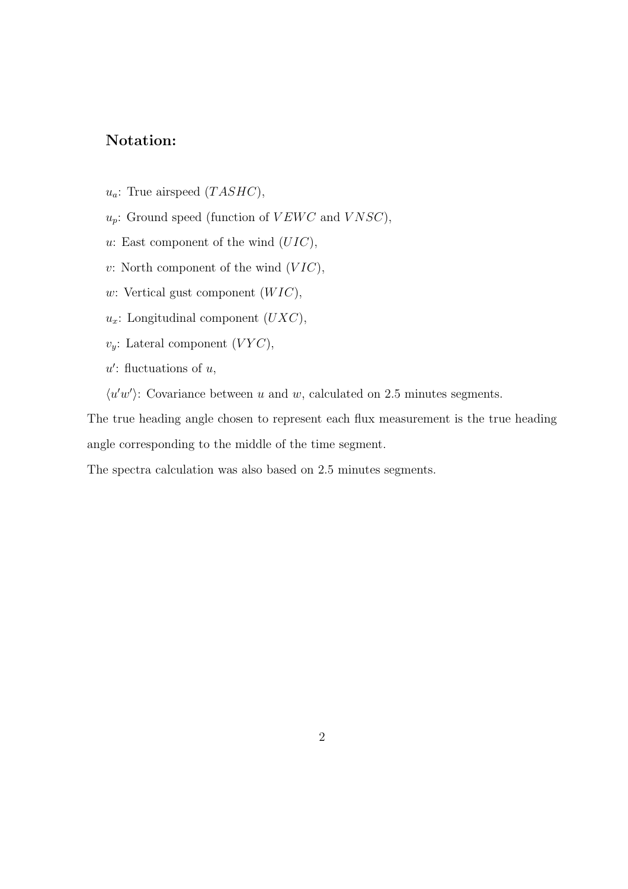### Notation:

- $u_a$ : True airspeed  $(TASHC)$ ,
- $u_p$ : Ground speed (function of  $VEWC$  and  $VNSC$ ),
- u: East component of the wind  $(UIC)$ ,
- v: North component of the wind  $(VIC)$ ,
- w: Vertical gust component  $(WIC)$ ,
- $u_x$ : Longitudinal component  $(UXC)$ ,
- $v_y$ : Lateral component  $(VYC)$ ,
- $u'$ : fluctuations of  $u$ ,
- $\langle u'w' \rangle$ : Covariance between u and w, calculated on 2.5 minutes segments.

The true heading angle chosen to represent each flux measurement is the true heading angle corresponding to the middle of the time segment.

The spectra calculation was also based on 2.5 minutes segments.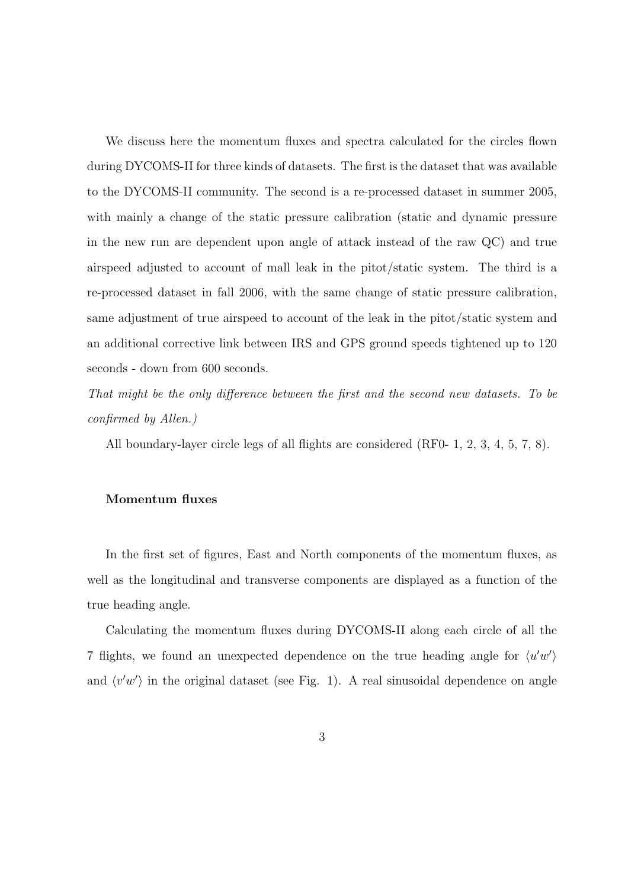We discuss here the momentum fluxes and spectra calculated for the circles flown during DYCOMS-II for three kinds of datasets. The first is the dataset that was available to the DYCOMS-II community. The second is a re-processed dataset in summer 2005, with mainly a change of the static pressure calibration (static and dynamic pressure in the new run are dependent upon angle of attack instead of the raw QC) and true airspeed adjusted to account of mall leak in the pitot/static system. The third is a re-processed dataset in fall 2006, with the same change of static pressure calibration, same adjustment of true airspeed to account of the leak in the pitot/static system and an additional corrective link between IRS and GPS ground speeds tightened up to 120 seconds - down from 600 seconds.

That might be the only difference between the first and the second new datasets. To be confirmed by Allen.)

All boundary-layer circle legs of all flights are considered (RF0- 1, 2, 3, 4, 5, 7, 8).

### Momentum fluxes

In the first set of figures, East and North components of the momentum fluxes, as well as the longitudinal and transverse components are displayed as a function of the true heading angle.

Calculating the momentum fluxes during DYCOMS-II along each circle of all the 7 flights, we found an unexpected dependence on the true heading angle for  $\langle u'w' \rangle$ and  $\langle v'w' \rangle$  in the original dataset (see Fig. 1). A real sinusoidal dependence on angle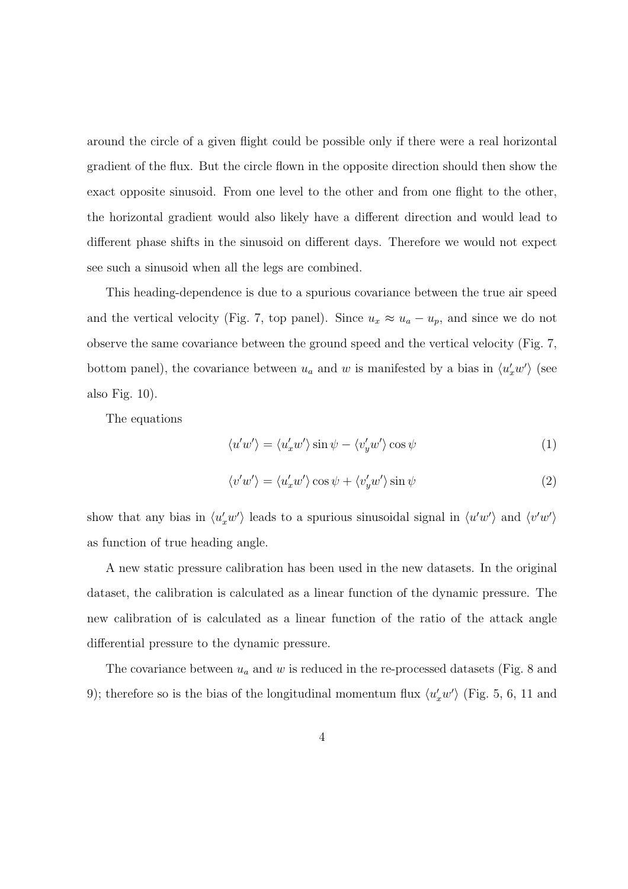around the circle of a given flight could be possible only if there were a real horizontal gradient of the flux. But the circle flown in the opposite direction should then show the exact opposite sinusoid. From one level to the other and from one flight to the other, the horizontal gradient would also likely have a different direction and would lead to different phase shifts in the sinusoid on different days. Therefore we would not expect see such a sinusoid when all the legs are combined.

This heading-dependence is due to a spurious covariance between the true air speed and the vertical velocity (Fig. 7, top panel). Since  $u_x \approx u_a - u_p$ , and since we do not observe the same covariance between the ground speed and the vertical velocity (Fig. 7, bottom panel), the covariance between  $u_a$  and w is manifested by a bias in  $\langle u'_x w' \rangle$  (see also Fig. 10).

The equations

$$
\langle u'w' \rangle = \langle u'_x w' \rangle \sin \psi - \langle v'_y w' \rangle \cos \psi \tag{1}
$$

$$
\langle v'w'\rangle = \langle u'_x w'\rangle \cos \psi + \langle v'_y w'\rangle \sin \psi \tag{2}
$$

show that any bias in  $\langle u'_x w' \rangle$  leads to a spurious sinusoidal signal in  $\langle u'w' \rangle$  and  $\langle v'w' \rangle$ as function of true heading angle.

A new static pressure calibration has been used in the new datasets. In the original dataset, the calibration is calculated as a linear function of the dynamic pressure. The new calibration of is calculated as a linear function of the ratio of the attack angle differential pressure to the dynamic pressure.

The covariance between  $u_a$  and  $w$  is reduced in the re-processed datasets (Fig. 8 and 9); therefore so is the bias of the longitudinal momentum flux  $\langle u'_x w' \rangle$  (Fig. 5, 6, 11 and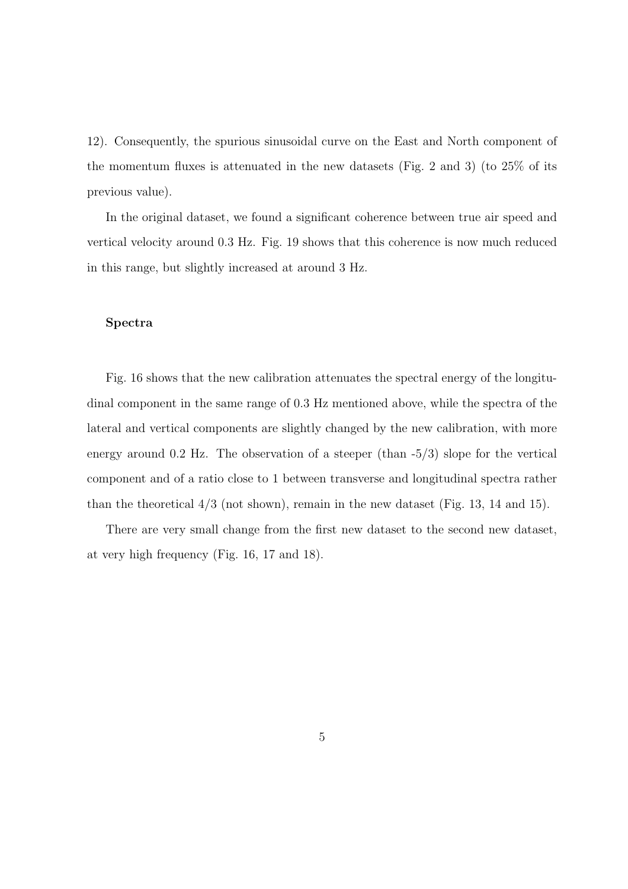12). Consequently, the spurious sinusoidal curve on the East and North component of the momentum fluxes is attenuated in the new datasets (Fig. 2 and 3) (to 25% of its previous value).

In the original dataset, we found a significant coherence between true air speed and vertical velocity around 0.3 Hz. Fig. 19 shows that this coherence is now much reduced in this range, but slightly increased at around 3 Hz.

#### Spectra

Fig. 16 shows that the new calibration attenuates the spectral energy of the longitudinal component in the same range of 0.3 Hz mentioned above, while the spectra of the lateral and vertical components are slightly changed by the new calibration, with more energy around 0.2 Hz. The observation of a steeper (than -5/3) slope for the vertical component and of a ratio close to 1 between transverse and longitudinal spectra rather than the theoretical 4/3 (not shown), remain in the new dataset (Fig. 13, 14 and 15).

There are very small change from the first new dataset to the second new dataset, at very high frequency (Fig. 16, 17 and 18).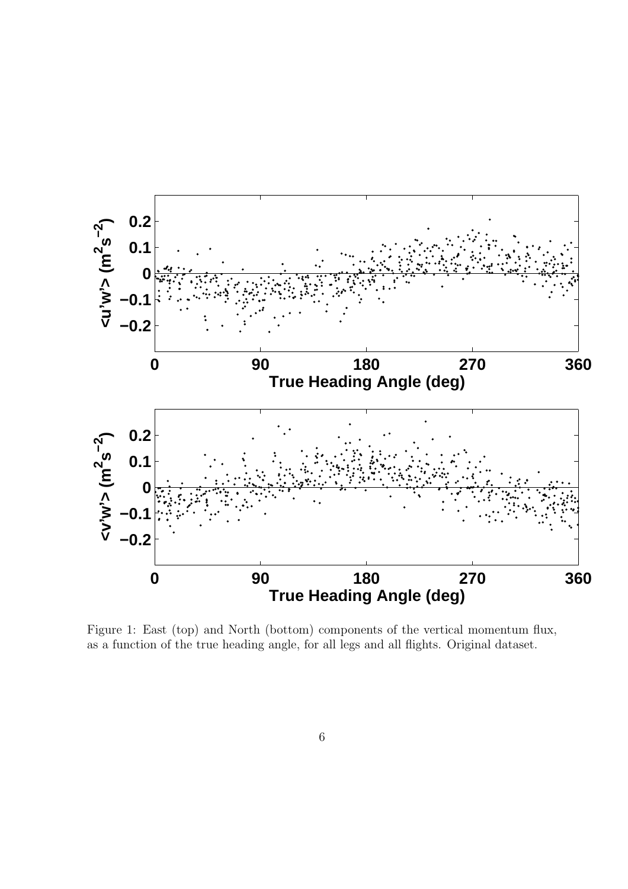

Figure 1: East (top) and North (bottom) components of the vertical momentum flux, as a function of the true heading angle, for all legs and all flights. Original dataset.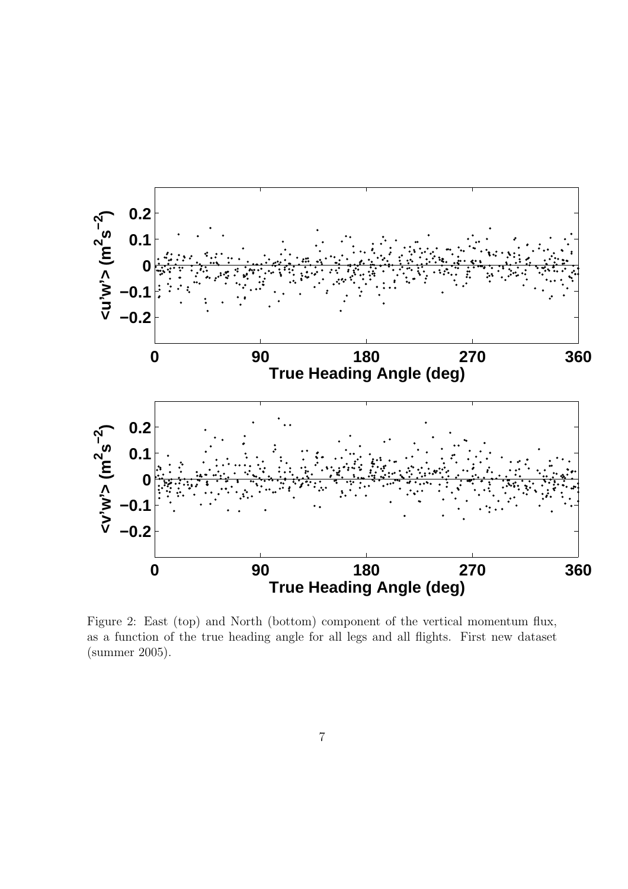

Figure 2: East (top) and North (bottom) component of the vertical momentum flux, as a function of the true heading angle for all legs and all flights. First new dataset (summer 2005).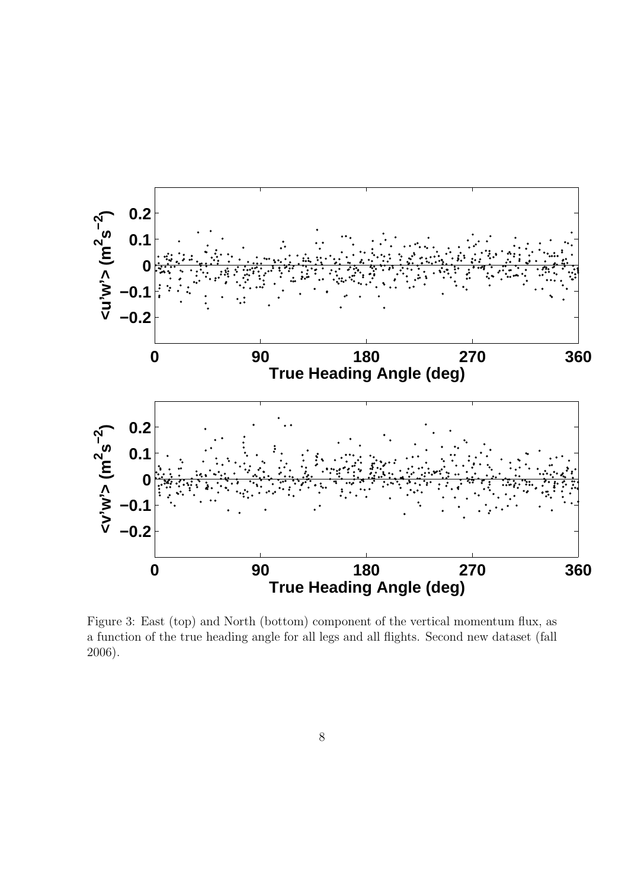

Figure 3: East (top) and North (bottom) component of the vertical momentum flux, as a function of the true heading angle for all legs and all flights. Second new dataset (fall 2006).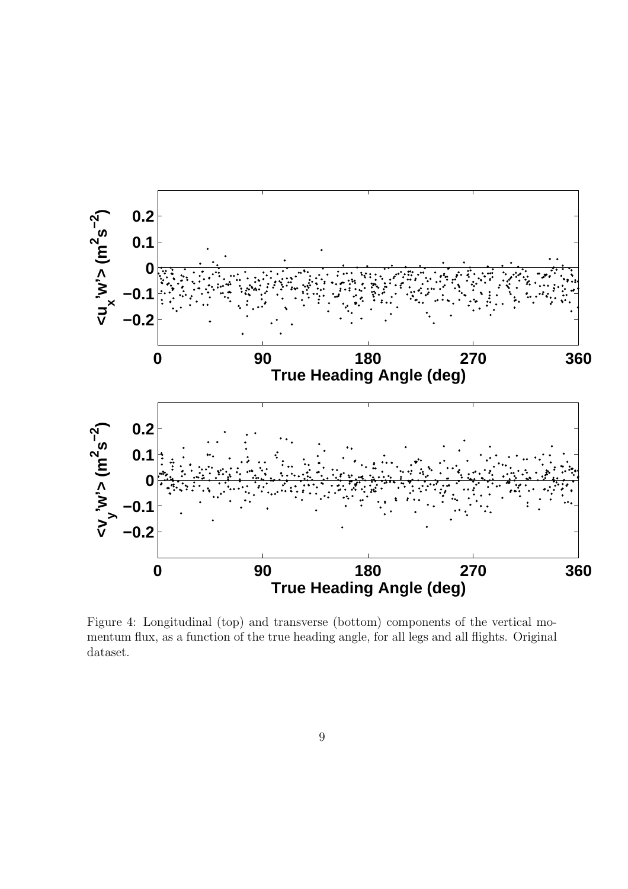

Figure 4: Longitudinal (top) and transverse (bottom) components of the vertical momentum flux, as a function of the true heading angle, for all legs and all flights. Original dataset.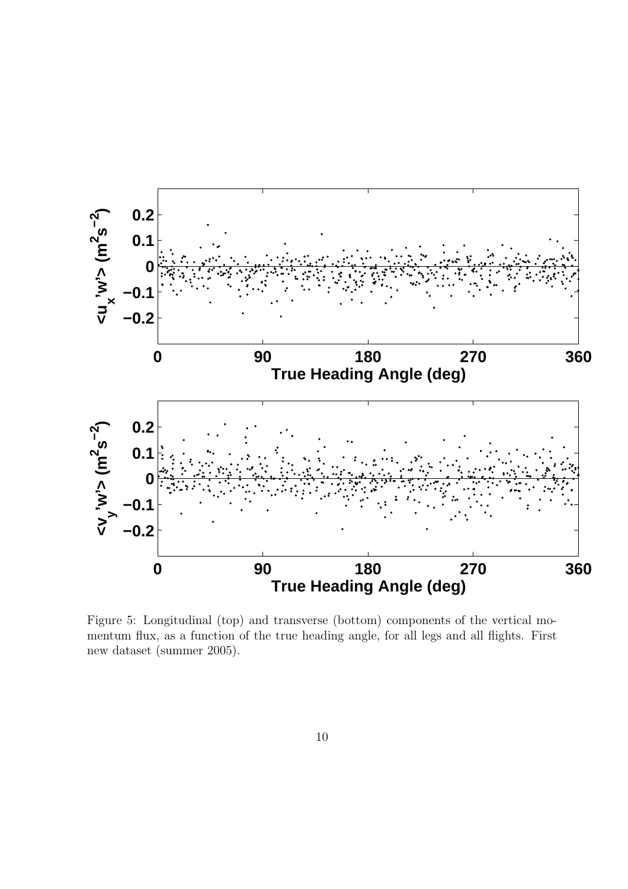

Figure 5: Longitudinal (top) and transverse (bottom) components of the vertical momentum flux, as a function of the true heading angle, for all legs and all flights. First new dataset (summer 2005).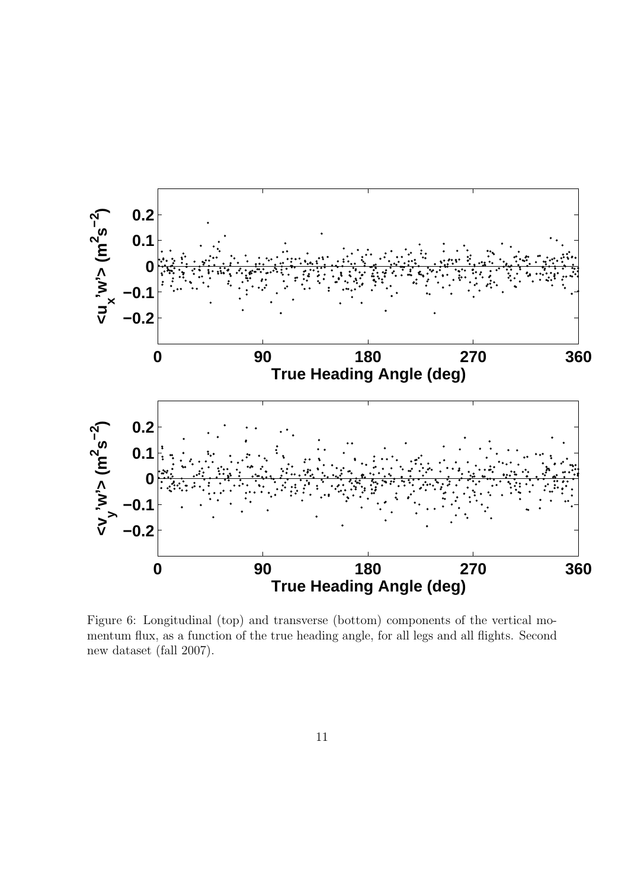

Figure 6: Longitudinal (top) and transverse (bottom) components of the vertical momentum flux, as a function of the true heading angle, for all legs and all flights. Second new dataset (fall 2007).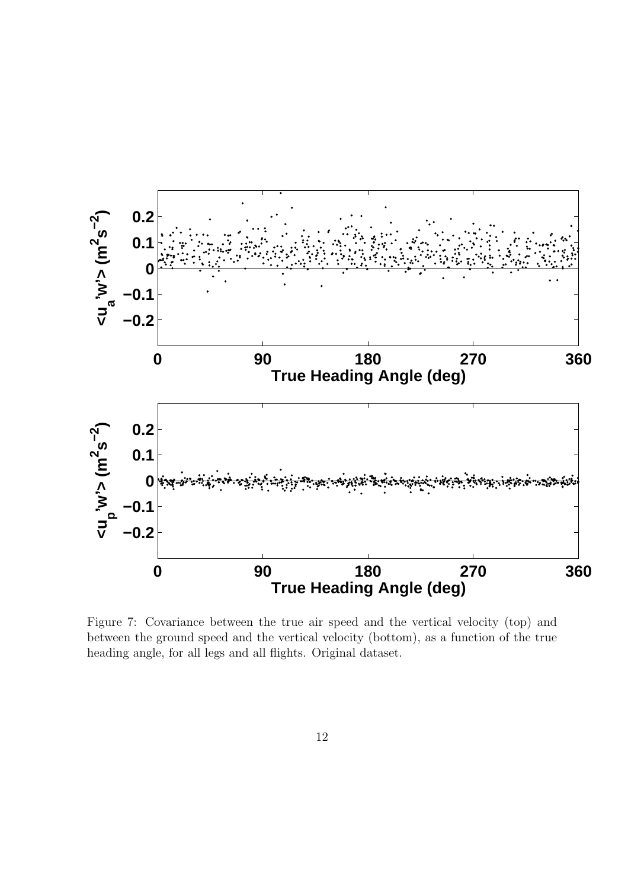

Figure 7: Covariance between the true air speed and the vertical velocity (top) and between the ground speed and the vertical velocity (bottom), as a function of the true heading angle, for all legs and all flights. Original dataset.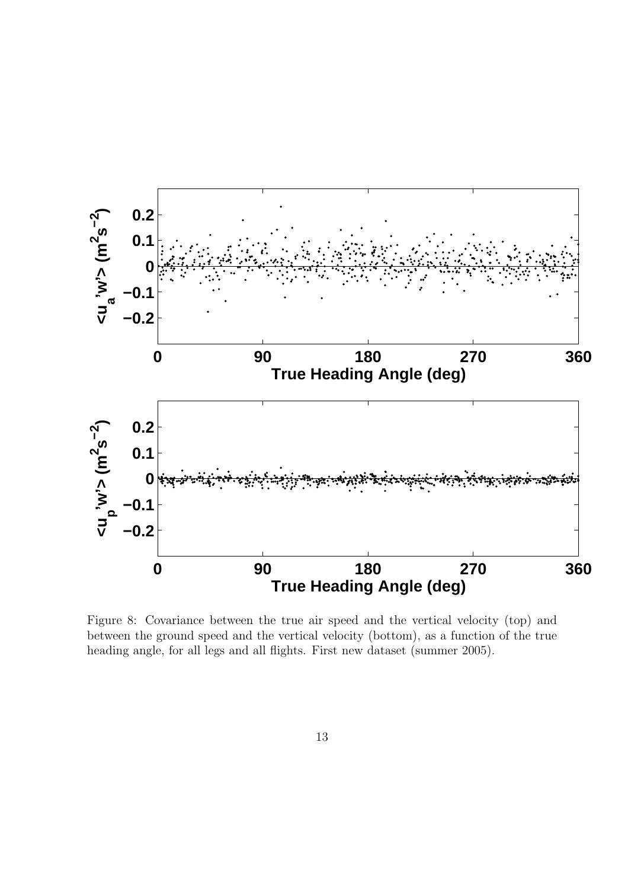

Figure 8: Covariance between the true air speed and the vertical velocity (top) and between the ground speed and the vertical velocity (bottom), as a function of the true heading angle, for all legs and all flights. First new dataset (summer 2005).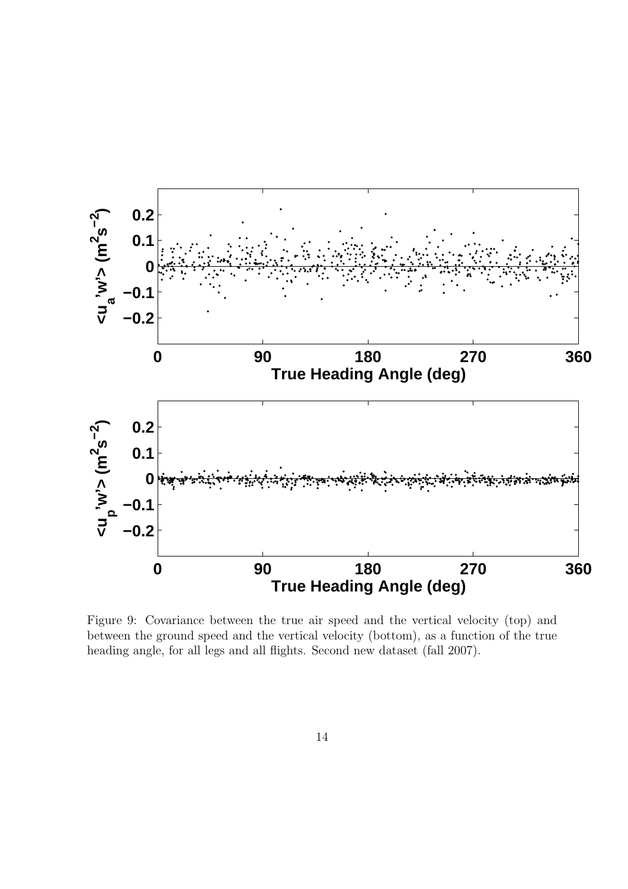

Figure 9: Covariance between the true air speed and the vertical velocity (top) and between the ground speed and the vertical velocity (bottom), as a function of the true heading angle, for all legs and all flights. Second new dataset (fall 2007).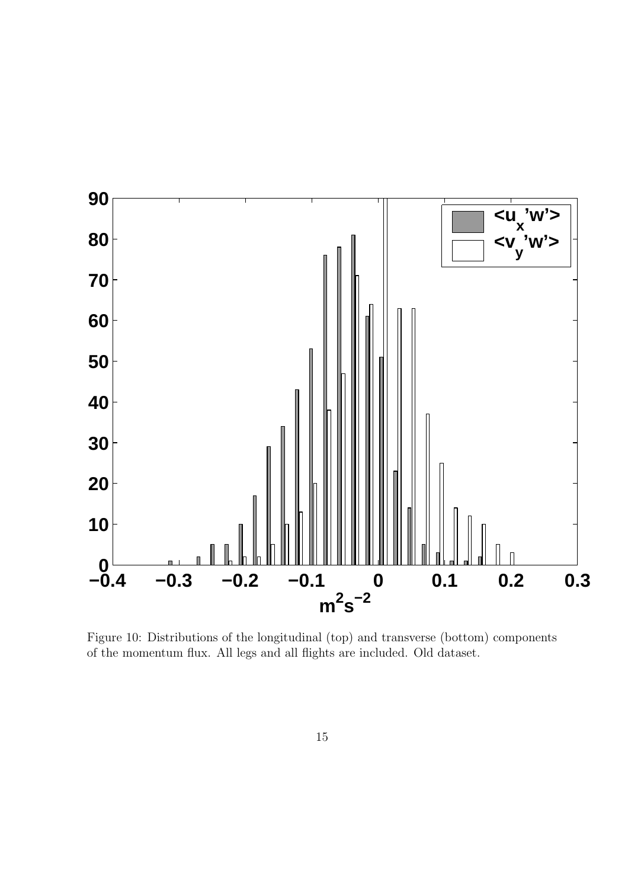

Figure 10: Distributions of the longitudinal (top) and transverse (bottom) components of the momentum flux. All legs and all flights are included. Old dataset.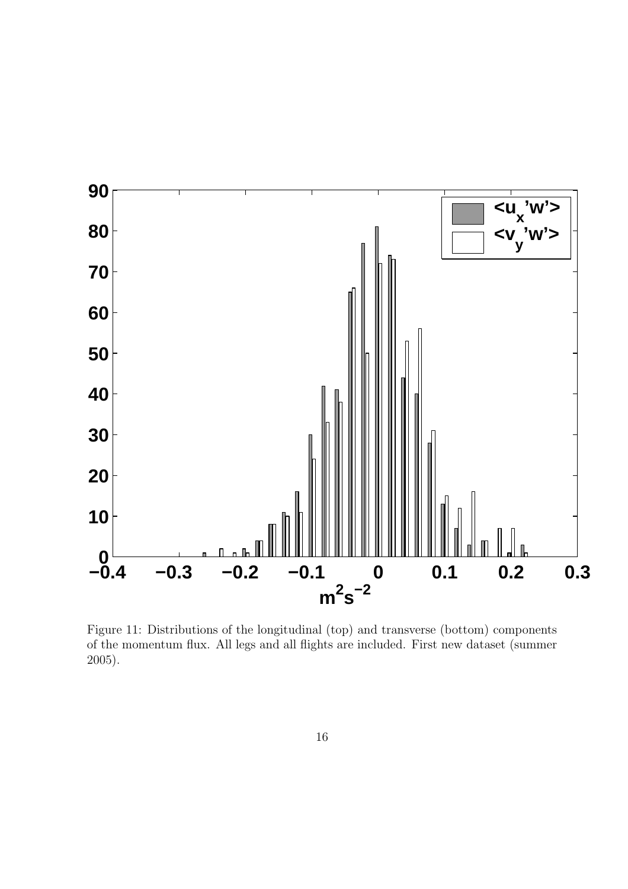

Figure 11: Distributions of the longitudinal (top) and transverse (bottom) components of the momentum flux. All legs and all flights are included. First new dataset (summer 2005).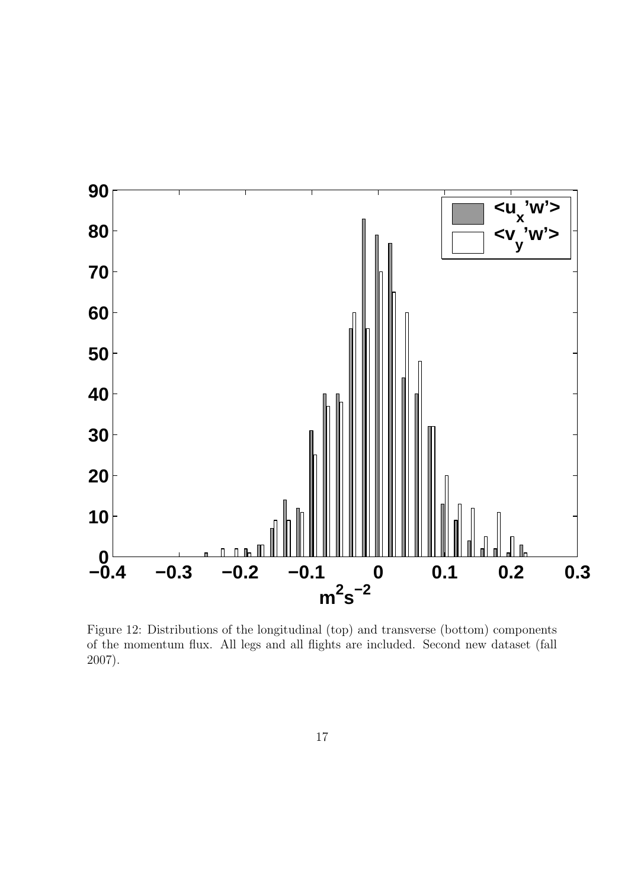

Figure 12: Distributions of the longitudinal (top) and transverse (bottom) components of the momentum flux. All legs and all flights are included. Second new dataset (fall 2007).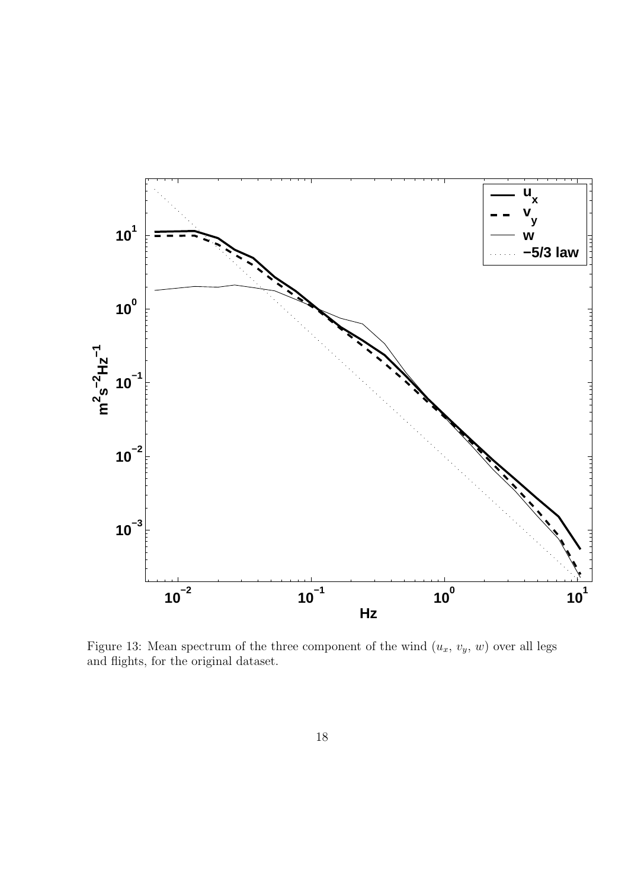

Figure 13: Mean spectrum of the three component of the wind  $(u_x, v_y, w)$  over all legs and flights, for the original dataset.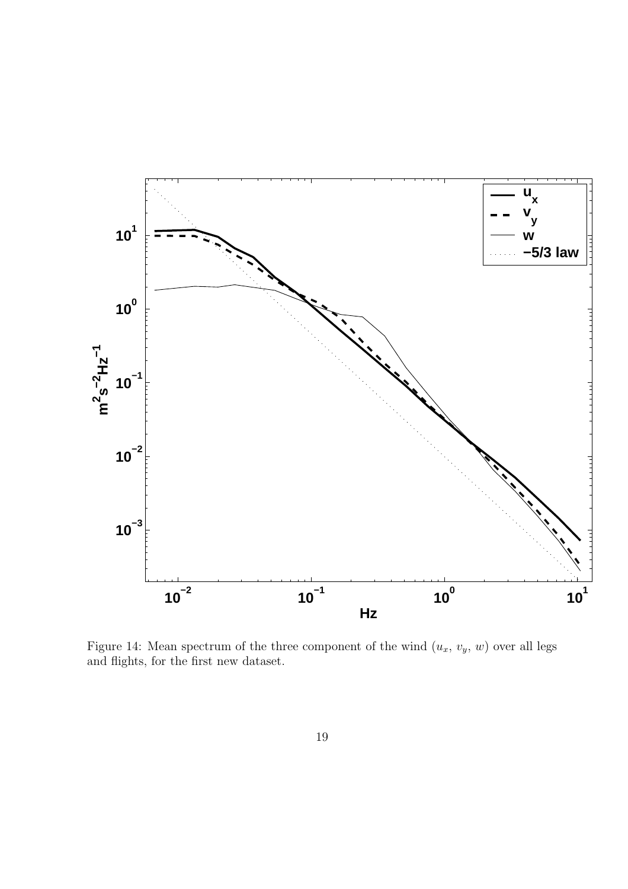

Figure 14: Mean spectrum of the three component of the wind  $(u_x, v_y, w)$  over all legs and flights, for the first new dataset.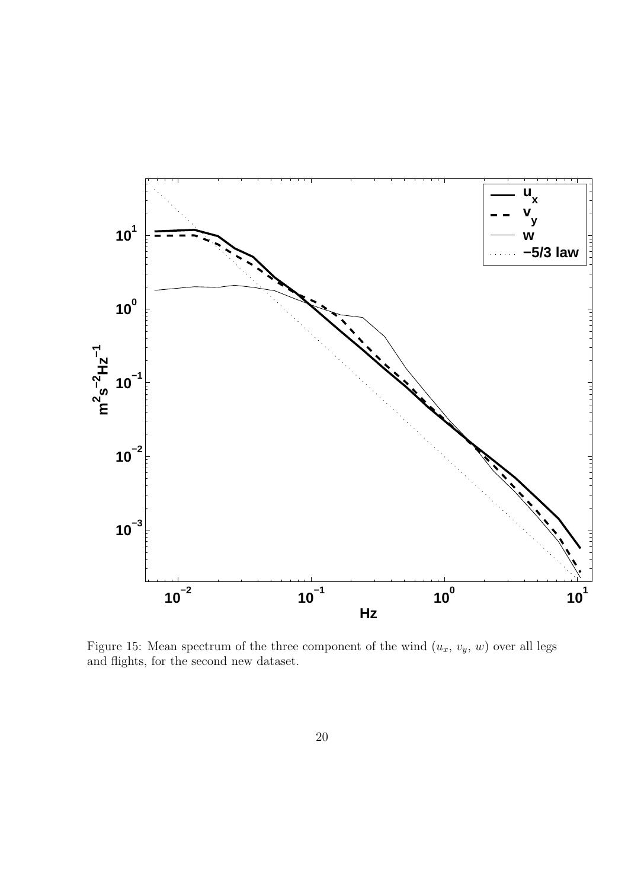

Figure 15: Mean spectrum of the three component of the wind  $(u_x, v_y, w)$  over all legs and flights, for the second new dataset.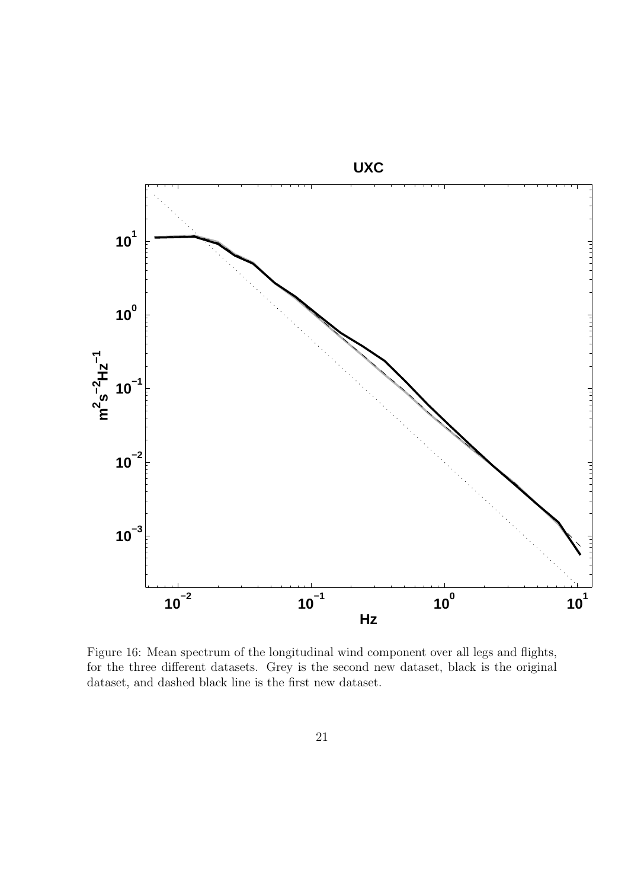

Figure 16: Mean spectrum of the longitudinal wind component over all legs and flights, for the three different datasets. Grey is the second new dataset, black is the original dataset, and dashed black line is the first new dataset.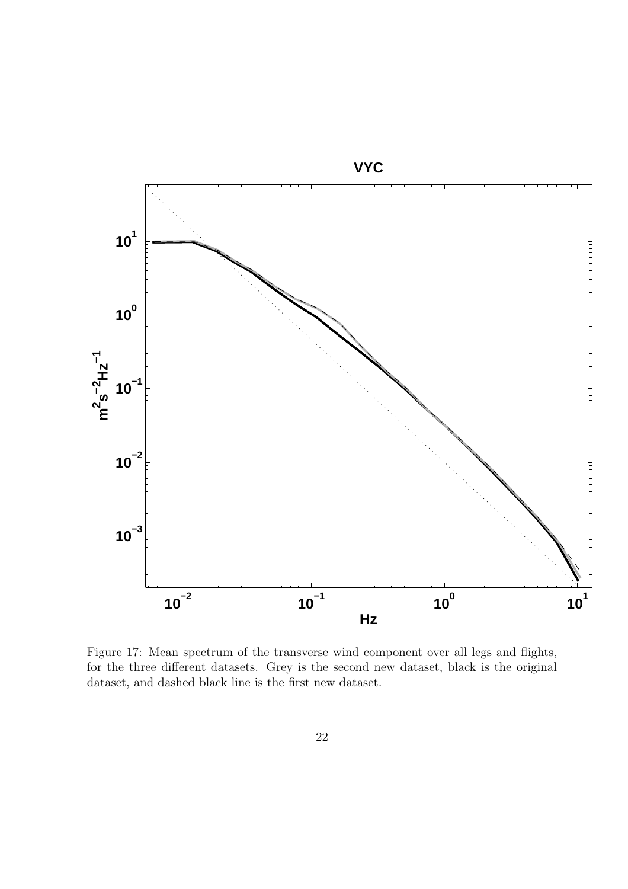

Figure 17: Mean spectrum of the transverse wind component over all legs and flights, for the three different datasets. Grey is the second new dataset, black is the original dataset, and dashed black line is the first new dataset.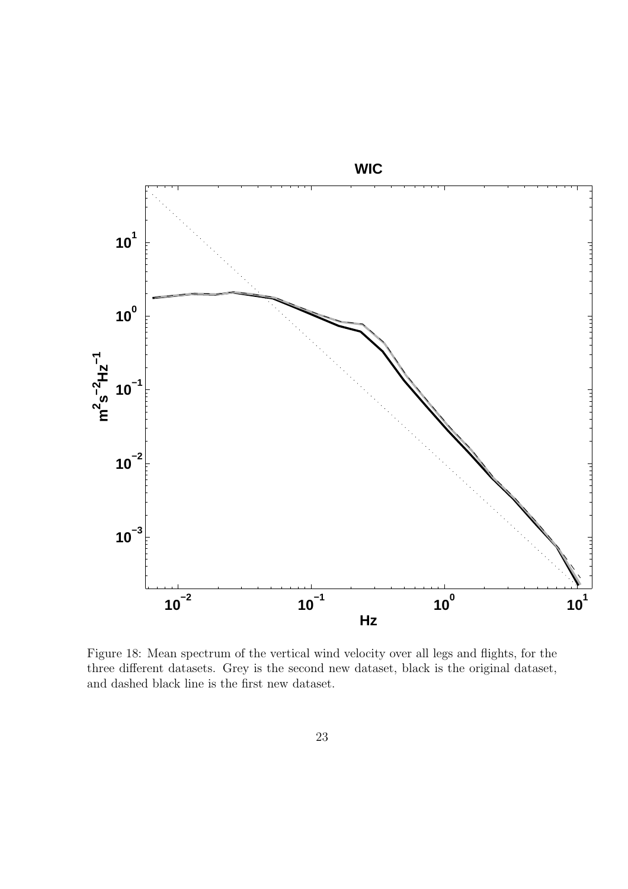

Figure 18: Mean spectrum of the vertical wind velocity over all legs and flights, for the three different datasets. Grey is the second new dataset, black is the original dataset, and dashed black line is the first new dataset.